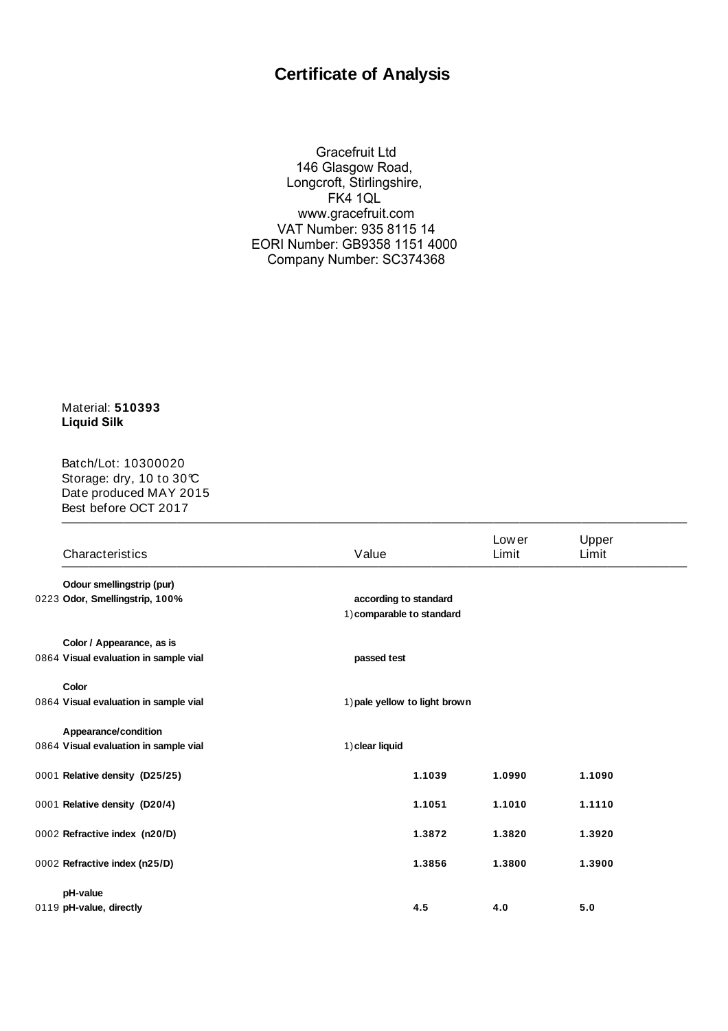## **Certificate of Analysis**

Gracefruit Ltd 146 Glasgow Road, Longcroft, Stirlingshire, FK4 1QL www.gracefruit.com VAT Number: 935 8115 14 EORI Number: GB9358 1151 4000 Company Number: SC374368

Material: **510393 Liquid Silk** 

\_\_\_\_\_\_\_\_\_\_\_\_\_\_\_\_\_\_\_\_\_\_\_\_\_\_\_\_\_\_\_\_\_\_\_\_\_\_\_\_\_\_\_\_\_\_\_\_\_\_\_\_\_\_\_\_\_\_\_\_\_\_\_\_\_\_\_\_\_\_\_ Batch/Lot: 10300020 Storage: dry, 10 to 30°C Date produced MAY 2015 Best before OCT 2017

| Characteristics                       | Value                                              |        | Low er<br>Limit | Upper<br>Limit |
|---------------------------------------|----------------------------------------------------|--------|-----------------|----------------|
| Odour smellingstrip (pur)             |                                                    |        |                 |                |
| 0223 Odor, Smellingstrip, 100%        | according to standard<br>1) comparable to standard |        |                 |                |
| Color / Appearance, as is             |                                                    |        |                 |                |
| 0864 Visual evaluation in sample vial | passed test                                        |        |                 |                |
| Color                                 |                                                    |        |                 |                |
| 0864 Visual evaluation in sample vial | 1) pale yellow to light brown                      |        |                 |                |
| Appearance/condition                  |                                                    |        |                 |                |
| 0864 Visual evaluation in sample vial | 1) clear liquid                                    |        |                 |                |
| 0001 Relative density (D25/25)        |                                                    | 1.1039 | 1.0990          | 1.1090         |
| 0001 Relative density (D20/4)         |                                                    | 1.1051 | 1.1010          | 1.1110         |
| 0002 Refractive index (n20/D)         |                                                    | 1.3872 | 1.3820          | 1.3920         |
| 0002 Refractive index (n25/D)         |                                                    | 1.3856 | 1.3800          | 1.3900         |
| pH-value                              |                                                    |        |                 |                |
| 0119 pH-value, directly               |                                                    | 4.5    | 4.0             | 5.0            |